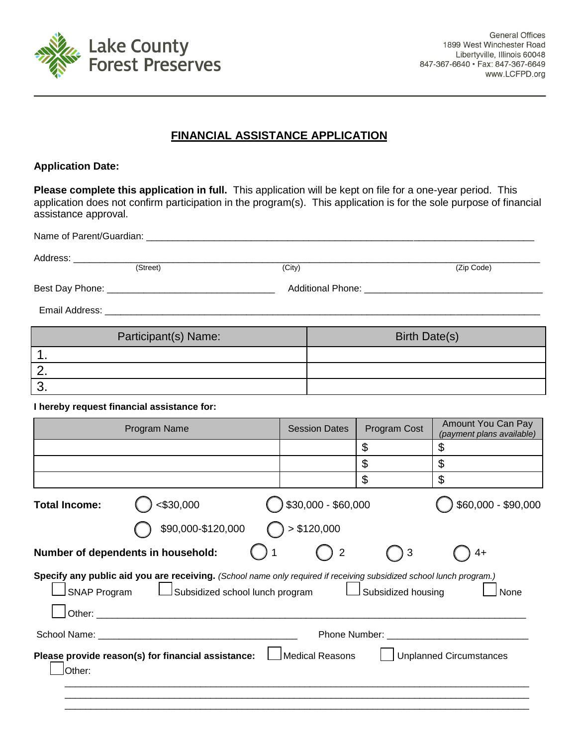

**General Offices** 1899 West Winchester Road Libertyville, Illinois 60048 847-367-6640 · Fax: 847-367-6649 www.LCFPD.org

## **FINANCIAL ASSISTANCE APPLICATION**

## **Application Date:**

**Please complete this application in full.** This application will be kept on file for a one-year period. This application does not confirm participation in the program(s). This application is for the sole purpose of financial assistance approval.

| Address: ______________ | (Street)                                                                                                                                               | (City) |                      |                    | (Zip Code)                                      |
|-------------------------|--------------------------------------------------------------------------------------------------------------------------------------------------------|--------|----------------------|--------------------|-------------------------------------------------|
|                         |                                                                                                                                                        |        |                      |                    |                                                 |
|                         |                                                                                                                                                        |        |                      |                    |                                                 |
|                         |                                                                                                                                                        |        |                      |                    |                                                 |
| Participant(s) Name:    |                                                                                                                                                        |        | <b>Birth Date(s)</b> |                    |                                                 |
| 1.                      |                                                                                                                                                        |        |                      |                    |                                                 |
| 2.                      |                                                                                                                                                        |        |                      |                    |                                                 |
| 3.                      |                                                                                                                                                        |        |                      |                    |                                                 |
|                         | I hereby request financial assistance for:                                                                                                             |        |                      |                    |                                                 |
|                         | Program Name                                                                                                                                           |        | <b>Session Dates</b> | Program Cost       | Amount You Can Pay<br>(payment plans available) |
|                         |                                                                                                                                                        |        |                      | \$                 | \$                                              |
|                         |                                                                                                                                                        |        |                      | \$                 | $\mathfrak{L}$                                  |
|                         |                                                                                                                                                        |        |                      | \$                 | $\mathfrak{S}$                                  |
| <b>Total Income:</b>    | $<$ \$30,000                                                                                                                                           |        | \$30,000 - \$60,000  |                    | \$60,000 - \$90,000                             |
|                         | \$90,000-\$120,000                                                                                                                                     |        | > \$120,000          |                    |                                                 |
|                         | Number of dependents in household:                                                                                                                     |        | $\overline{2}$       | 3                  | $4+$                                            |
| <b>SNAP Program</b>     | Specify any public aid you are receiving. (School name only required if receiving subsidized school lunch program.)<br>Subsidized school lunch program |        |                      | Subsidized housing | None                                            |
|                         |                                                                                                                                                        |        |                      |                    |                                                 |
| Other:                  | Please provide reason(s) for financial assistance: $\Box$                                                                                              |        | Medical Reasons      |                    | <b>Unplanned Circumstances</b>                  |
|                         |                                                                                                                                                        |        |                      |                    |                                                 |